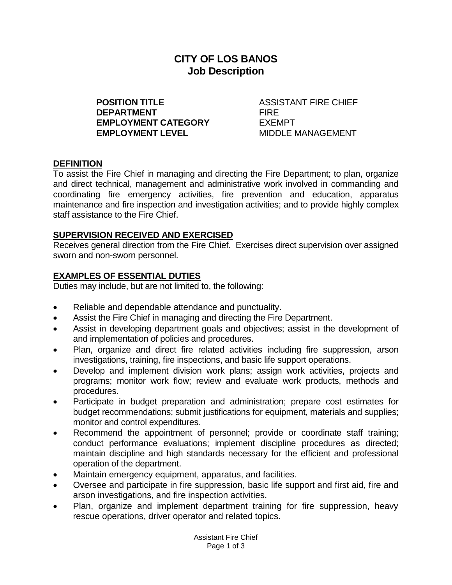# **CITY OF LOS BANOS Job Description**

**POSITION TITLE** ASSISTANT FIRE CHIEF **DEPARTMENT** FIRE **EMPLOYMENT CATEGORY** EXEMPT **EMPLOYMENT LEVEL THE MIDDLE MANAGEMENT** 

# **DEFINITION**

To assist the Fire Chief in managing and directing the Fire Department; to plan, organize and direct technical, management and administrative work involved in commanding and coordinating fire emergency activities, fire prevention and education, apparatus maintenance and fire inspection and investigation activities; and to provide highly complex staff assistance to the Fire Chief.

#### **SUPERVISION RECEIVED AND EXERCISED**

Receives general direction from the Fire Chief. Exercises direct supervision over assigned sworn and non-sworn personnel.

# **EXAMPLES OF ESSENTIAL DUTIES**

Duties may include, but are not limited to, the following:

- Reliable and dependable attendance and punctuality.
- Assist the Fire Chief in managing and directing the Fire Department.
- Assist in developing department goals and objectives; assist in the development of and implementation of policies and procedures.
- Plan, organize and direct fire related activities including fire suppression, arson investigations, training, fire inspections, and basic life support operations.
- Develop and implement division work plans; assign work activities, projects and programs; monitor work flow; review and evaluate work products, methods and procedures.
- Participate in budget preparation and administration; prepare cost estimates for budget recommendations; submit justifications for equipment, materials and supplies; monitor and control expenditures.
- Recommend the appointment of personnel; provide or coordinate staff training; conduct performance evaluations; implement discipline procedures as directed; maintain discipline and high standards necessary for the efficient and professional operation of the department.
- Maintain emergency equipment, apparatus, and facilities.
- Oversee and participate in fire suppression, basic life support and first aid, fire and arson investigations, and fire inspection activities.
- Plan, organize and implement department training for fire suppression, heavy rescue operations, driver operator and related topics.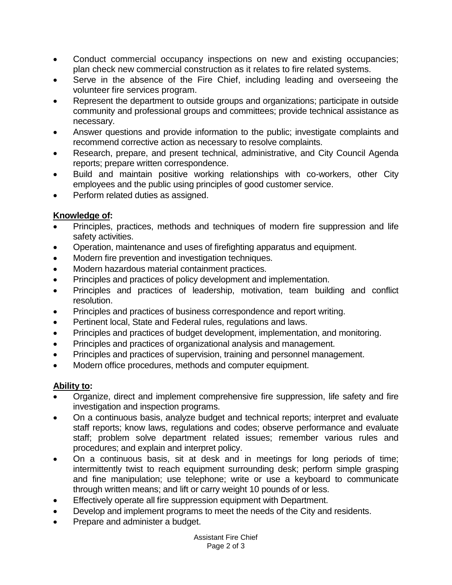- Conduct commercial occupancy inspections on new and existing occupancies; plan check new commercial construction as it relates to fire related systems.
- Serve in the absence of the Fire Chief, including leading and overseeing the volunteer fire services program.
- Represent the department to outside groups and organizations; participate in outside community and professional groups and committees; provide technical assistance as necessary.
- Answer questions and provide information to the public; investigate complaints and recommend corrective action as necessary to resolve complaints.
- Research, prepare, and present technical, administrative, and City Council Agenda reports; prepare written correspondence.
- Build and maintain positive working relationships with co-workers, other City employees and the public using principles of good customer service.
- Perform related duties as assigned.

# **Knowledge of:**

- Principles, practices, methods and techniques of modern fire suppression and life safety activities.
- Operation, maintenance and uses of firefighting apparatus and equipment.
- Modern fire prevention and investigation techniques.
- Modern hazardous material containment practices.
- Principles and practices of policy development and implementation.
- Principles and practices of leadership, motivation, team building and conflict resolution.
- Principles and practices of business correspondence and report writing.
- Pertinent local, State and Federal rules, regulations and laws.
- Principles and practices of budget development, implementation, and monitoring.
- Principles and practices of organizational analysis and management.
- Principles and practices of supervision, training and personnel management.
- Modern office procedures, methods and computer equipment.

# **Ability to:**

- Organize, direct and implement comprehensive fire suppression, life safety and fire investigation and inspection programs.
- On a continuous basis, analyze budget and technical reports; interpret and evaluate staff reports; know laws, regulations and codes; observe performance and evaluate staff; problem solve department related issues; remember various rules and procedures; and explain and interpret policy.
- On a continuous basis, sit at desk and in meetings for long periods of time; intermittently twist to reach equipment surrounding desk; perform simple grasping and fine manipulation; use telephone; write or use a keyboard to communicate through written means; and lift or carry weight 10 pounds of or less.
- Effectively operate all fire suppression equipment with Department.
- Develop and implement programs to meet the needs of the City and residents.
- Prepare and administer a budget.